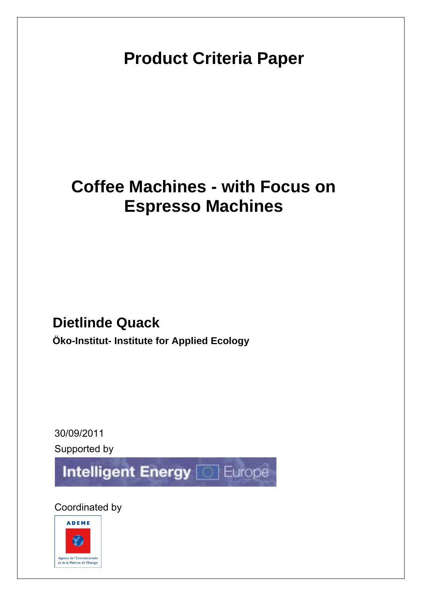# **Product Criteria Paper**

# **Coffee Machines - with Focus on Espresso Machines**

## **Dietlinde Quack**

**Öko-Institut- Institute for Applied Ecology** 

30/09/2011 Supported by

**Intelligent Energy Conference** 

Coordinated by

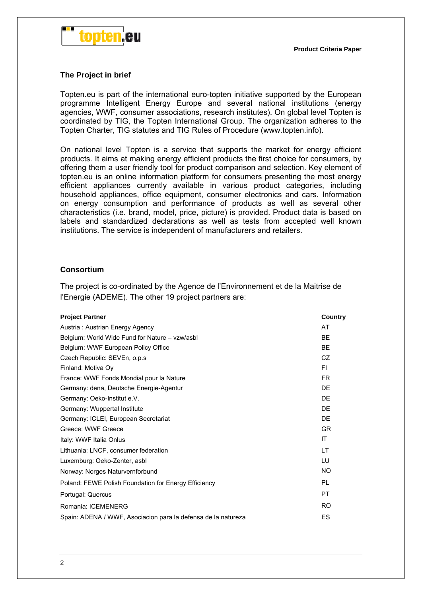

#### **The Project in brief**

Topten.eu is part of the international euro-topten initiative supported by the European programme Intelligent Energy Europe and several national institutions (energy agencies, WWF, consumer associations, research institutes). On global level Topten is coordinated by TIG, the Topten International Group. The organization adheres to the Topten Charter, TIG statutes and TIG Rules of Procedure (www.topten.info).

On national level Topten is a service that supports the market for energy efficient products. It aims at making energy efficient products the first choice for consumers, by offering them a user friendly tool for product comparison and selection. Key element of topten.eu is an online information platform for consumers presenting the most energy efficient appliances currently available in various product categories, including household appliances, office equipment, consumer electronics and cars. Information on energy consumption and performance of products as well as several other characteristics (i.e. brand, model, price, picture) is provided. Product data is based on labels and standardized declarations as well as tests from accepted well known institutions. The service is independent of manufacturers and retailers.

#### **Consortium**

The project is co-ordinated by the Agence de l'Environnement et de la Maitrise de l'Energie (ADEME). The other 19 project partners are:

| <b>Project Partner</b>                                        | Country        |
|---------------------------------------------------------------|----------------|
| Austria: Austrian Energy Agency                               | AT             |
| Belgium: World Wide Fund for Nature - vzw/asbl                | <b>BE</b>      |
| Belgium: WWF European Policy Office                           | <b>BE</b>      |
| Czech Republic: SEVEn, o.p.s.                                 | CZ             |
| Finland: Motiva Oy                                            | FI.            |
| France: WWF Fonds Mondial pour la Nature                      | FR.            |
| Germany: dena, Deutsche Energie-Agentur                       | DE             |
| Germany: Oeko-Institut e.V.                                   | DE             |
| Germany: Wuppertal Institute                                  | DE             |
| Germany: ICLEI, European Secretariat                          | DE             |
| Greece: WWF Greece                                            | <b>GR</b>      |
| Italy: WWF Italia Onlus                                       | ΙT             |
| Lithuania: LNCF, consumer federation                          | LT             |
| Luxemburg: Oeko-Zenter, asbl                                  | LU             |
| Norway: Norges Naturvernforbund                               | <b>NO</b>      |
| Poland: FEWE Polish Foundation for Energy Efficiency          | PL             |
| Portugal: Quercus                                             | <b>PT</b>      |
| Romania: ICEMENERG                                            | R <sub>O</sub> |
| Spain: ADENA / WWF, Asociacion para la defensa de la natureza | ES             |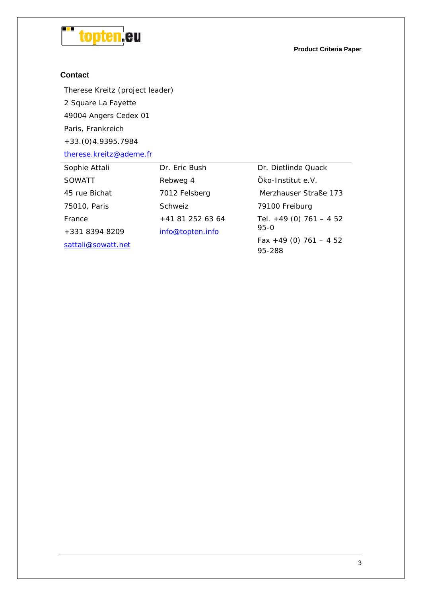

**Product Criteria Paper**

#### **Contact**

Therese Kreitz (project leader) 2 Square La Fayette 49004 Angers Cedex 01 Paris, Frankreich

+33.(0)4.9395.7984

therese.kreitz@ademe.fr

| Dr. Eric Bush    | Dr. Dietlinde Quack               |
|------------------|-----------------------------------|
| Rebweg 4         | Öko-Institut e.V.                 |
| 7012 Felsberg    | Merzhauser Straße 173             |
| Schweiz          | 79100 Freiburg                    |
| $+41812526364$   | Tel. $+49$ (0) 761 - 452          |
| info@topten.info | $95 - 0$                          |
|                  | Fax +49 (0) $761 - 452$<br>95-288 |
|                  |                                   |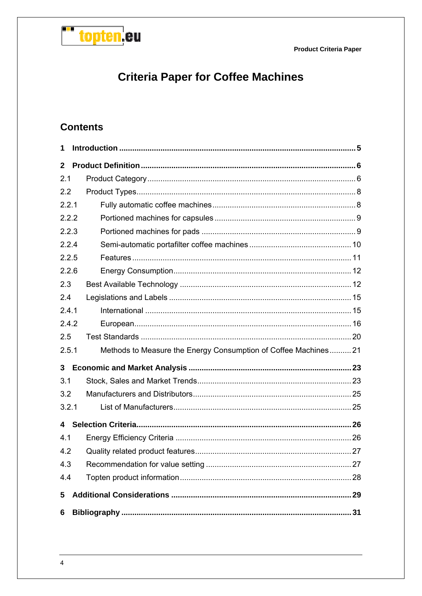

## **Criteria Paper for Coffee Machines**

## **Contents**

| 1              |                                                                |  |
|----------------|----------------------------------------------------------------|--|
| $\overline{2}$ |                                                                |  |
| 2.1            |                                                                |  |
| 2.2            |                                                                |  |
| 2.2.1          |                                                                |  |
| 2.2.2          |                                                                |  |
| 2.2.3          |                                                                |  |
| 2.2.4          |                                                                |  |
| 2.2.5          |                                                                |  |
| 2.2.6          |                                                                |  |
| 2.3            |                                                                |  |
| 2.4            |                                                                |  |
| 2.4.1          |                                                                |  |
| 2.4.2          |                                                                |  |
| 2.5            |                                                                |  |
| 2.5.1          | Methods to Measure the Energy Consumption of Coffee Machines21 |  |
| 3              |                                                                |  |
| 3.1            |                                                                |  |
| 3.2            |                                                                |  |
| 3.2.1          |                                                                |  |
| 4              |                                                                |  |
| 4.1            |                                                                |  |
| 4.2            |                                                                |  |
| 4.3            |                                                                |  |
| 4.4            |                                                                |  |
| 5              |                                                                |  |
| 6              |                                                                |  |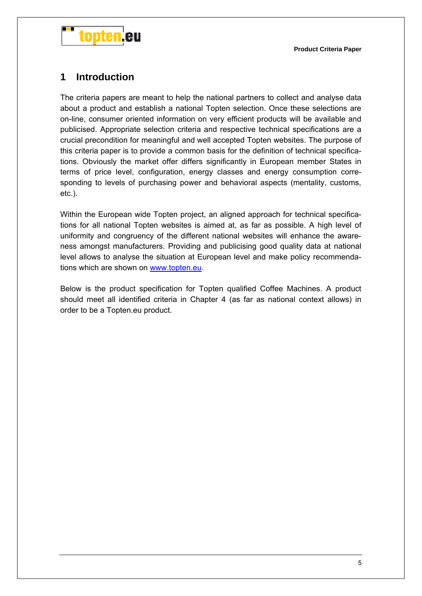



## **1 Introduction**

The criteria papers are meant to help the national partners to collect and analyse data about a product and establish a national Topten selection. Once these selections are on-line, consumer oriented information on very efficient products will be available and publicised. Appropriate selection criteria and respective technical specifications are a crucial precondition for meaningful and well accepted Topten websites. The purpose of this criteria paper is to provide a common basis for the definition of technical specifications. Obviously the market offer differs significantly in European member States in terms of price level, configuration, energy classes and energy consumption corresponding to levels of purchasing power and behavioral aspects (mentality, customs, etc.).

Within the European wide Topten project, an aligned approach for technical specifications for all national Topten websites is aimed at, as far as possible. A high level of uniformity and congruency of the different national websites will enhance the awareness amongst manufacturers. Providing and publicising good quality data at national level allows to analyse the situation at European level and make policy recommendations which are shown on www.topten.eu.

Below is the product specification for Topten qualified Coffee Machines. A product should meet all identified criteria in Chapter 4 (as far as national context allows) in order to be a Topten.eu product.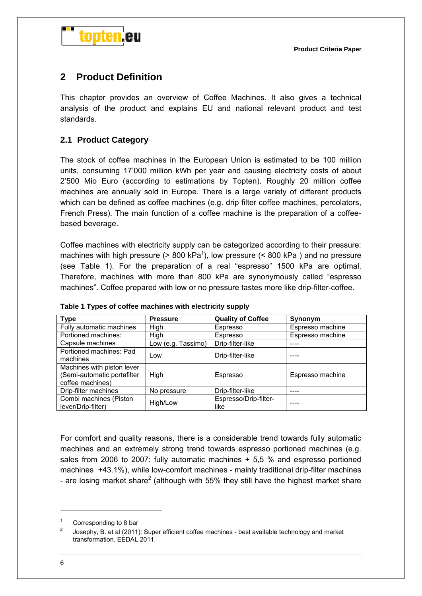

## **2 Product Definition**

This chapter provides an overview of Coffee Machines. It also gives a technical analysis of the product and explains EU and national relevant product and test standards.

#### **2.1 Product Category**

The stock of coffee machines in the European Union is estimated to be 100 million units, consuming 17'000 million kWh per year and causing electricity costs of about 2'500 Mio Euro (according to estimations by Topten). Roughly 20 million coffee machines are annually sold in Europe. There is a large variety of different products which can be defined as coffee machines (e.g. drip filter coffee machines, percolators, French Press). The main function of a coffee machine is the preparation of a coffeebased beverage.

Coffee machines with electricity supply can be categorized according to their pressure: machines with high pressure ( $> 800$  kPa<sup>1</sup>), low pressure ( $< 800$  kPa) and no pressure (see Table 1). For the preparation of a real "espresso" 1500 kPa are optimal. Therefore, machines with more than 800 kPa are synonymously called "espresso machines". Coffee prepared with low or no pressure tastes more like drip-filter-coffee.

| <b>Type</b>                                                                   | <b>Pressure</b>    | <b>Quality of Coffee</b>      | Synonym          |
|-------------------------------------------------------------------------------|--------------------|-------------------------------|------------------|
| Fully automatic machines                                                      | High               | Espresso                      | Espresso machine |
| Portioned machines:                                                           | High               | Espresso                      | Espresso machine |
| Capsule machines                                                              | Low (e.g. Tassimo) | Drip-filter-like              |                  |
| Portioned machines: Pad<br>machines                                           | Low                | Drip-filter-like              |                  |
| Machines with piston lever<br>(Semi-automatic portafilter<br>coffee machines) | High               | Espresso                      | Espresso machine |
| Drip-filter machines                                                          | No pressure        | Drip-filter-like              |                  |
| Combi machines (Piston<br>lever/Drip-filter)                                  | High/Low           | Espresso/Drip-filter-<br>like |                  |

**Table 1 Types of coffee machines with electricity supply** 

For comfort and quality reasons, there is a considerable trend towards fully automatic machines and an extremely strong trend towards espresso portioned machines (e.g. sales from 2006 to 2007: fully automatic machines + 5,5 % and espresso portioned machines +43.1%), while low-comfort machines - mainly traditional drip-filter machines - are losing market share<sup>2</sup> (although with 55% they still have the highest market share

<sup>1</sup> Corresponding to 8 bar

<sup>2</sup> Josephy, B. et al (2011): Super efficient coffee machines - best available technology and market transformation. EEDAL 2011.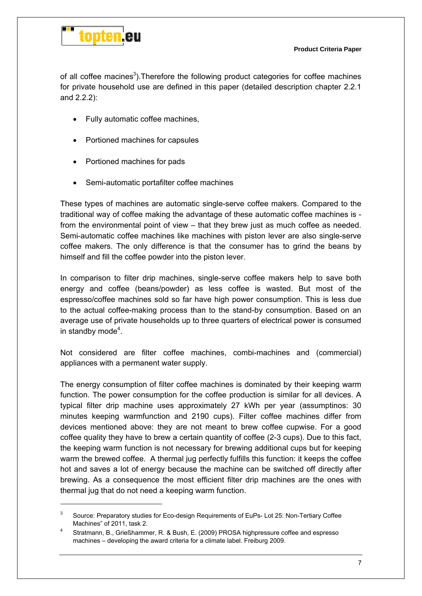

 $\overline{a}$ 

of all coffee macines<sup>3</sup>). Therefore the following product categories for coffee machines for private household use are defined in this paper (detailed description chapter 2.2.1 and 2.2.2):

- Fully automatic coffee machines,
- Portioned machines for capsules
- Portioned machines for pads
- Semi-automatic portafilter coffee machines

These types of machines are automatic single-serve coffee makers. Compared to the traditional way of coffee making the advantage of these automatic coffee machines is from the environmental point of view – that they brew just as much coffee as needed. Semi-automatic coffee machines like machines with piston lever are also single-serve coffee makers. The only difference is that the consumer has to grind the beans by himself and fill the coffee powder into the piston lever.

In comparison to filter drip machines, single-serve coffee makers help to save both energy and coffee (beans/powder) as less coffee is wasted. But most of the espresso/coffee machines sold so far have high power consumption. This is less due to the actual coffee-making process than to the stand-by consumption. Based on an average use of private households up to three quarters of electrical power is consumed in standby mode<sup>4</sup>.

Not considered are filter coffee machines, combi-machines and (commercial) appliances with a permanent water supply.

The energy consumption of filter coffee machines is dominated by their keeping warm function. The power consumption for the coffee production is similar for all devices. A typical filter drip machine uses approximately 27 kWh per year (assumptinos: 30 minutes keeping warmfunction and 2190 cups). Filter coffee machines differ from devices mentioned above: they are not meant to brew coffee cupwise. For a good coffee quality they have to brew a certain quantity of coffee (2-3 cups). Due to this fact, the keeping warm function is not necessary for brewing additional cups but for keeping warm the brewed coffee. A thermal jug perfectly fulfills this function: it keeps the coffee hot and saves a lot of energy because the machine can be switched off directly after brewing. As a consequence the most efficient filter drip machines are the ones with thermal jug that do not need a keeping warm function.

<sup>3</sup> Source: Preparatory studies for Eco-design Requirements of EuPs- Lot 25: Non-Tertiary Coffee Machines" of 2011, task 2.

Stratmann, B., Grießhammer, R. & Bush, E. (2009) PROSA highpressure coffee and espresso machines – developing the award criteria for a climate label. Freiburg 2009.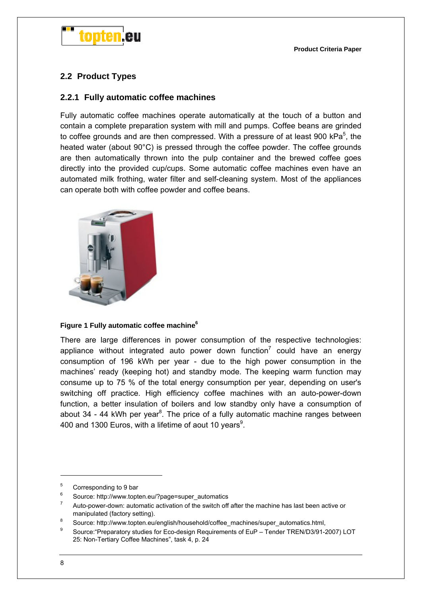

### **2.2 Product Types**

#### **2.2.1 Fully automatic coffee machines**

Fully automatic coffee machines operate automatically at the touch of a button and contain a complete preparation system with mill and pumps. Coffee beans are grinded to coffee grounds and are then compressed. With a pressure of at least 900 kPa<sup>5</sup>, the heated water (about 90°C) is pressed through the coffee powder. The coffee grounds are then automatically thrown into the pulp container and the brewed coffee goes directly into the provided cup/cups. Some automatic coffee machines even have an automated milk frothing, water filter and self-cleaning system. Most of the appliances can operate both with coffee powder and coffee beans.



#### **Figure 1 Fully automatic coffee machine6**

There are large differences in power consumption of the respective technologies: appliance without integrated auto power down function<sup>7</sup> could have an energy consumption of 196 kWh per year - due to the high power consumption in the machines' ready (keeping hot) and standby mode. The keeping warm function may consume up to 75 % of the total energy consumption per year, depending on user's switching off practice. High efficiency coffee machines with an auto-power-down function, a better insulation of boilers and low standby only have a consumption of about 34 - 44 kWh per year<sup>8</sup>. The price of a fully automatic machine ranges between 400 and 1300 Euros, with a lifetime of aout 10 years<sup>9</sup>.

<sup>5</sup> Corresponding to 9 bar

<sup>6</sup> Source: http://www.topten.eu/?page=super\_automatics

<sup>7</sup> Auto-power-down: automatic activation of the switch off after the machine has last been active or manipulated (factory setting).

<sup>&</sup>lt;sup>8</sup> Source: http://www.topten.eu/english/household/coffee\_machines/super\_automatics.html, 9

Source:"Preparatory studies for Eco-design Requirements of EuP – Tender TREN/D3/91-2007) LOT 25: Non-Tertiary Coffee Machines", task 4, p. 24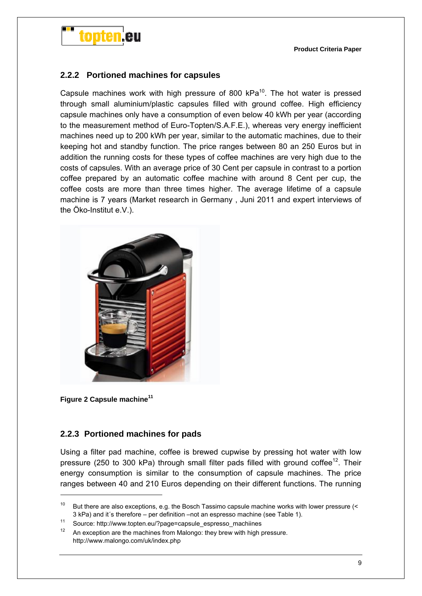

#### **2.2.2 Portioned machines for capsules**

Capsule machines work with high pressure of 800 kPa<sup>10</sup>. The hot water is pressed through small aluminium/plastic capsules filled with ground coffee. High efficiency capsule machines only have a consumption of even below 40 kWh per year (according to the measurement method of Euro-Topten/S.A.F.E.), whereas very energy inefficient machines need up to 200 kWh per year, similar to the automatic machines, due to their keeping hot and standby function. The price ranges between 80 an 250 Euros but in addition the running costs for these types of coffee machines are very high due to the costs of capsules. With an average price of 30 Cent per capsule in contrast to a portion coffee prepared by an automatic coffee machine with around 8 Cent per cup, the coffee costs are more than three times higher. The average lifetime of a capsule machine is 7 years (Market research in Germany , Juni 2011 and expert interviews of the Öko-Institut e.V.).



**Figure 2 Capsule machine11**

-

#### **2.2.3 Portioned machines for pads**

Using a filter pad machine, coffee is brewed cupwise by pressing hot water with low pressure (250 to 300 kPa) through small filter pads filled with ground coffee<sup>12</sup>. Their energy consumption is similar to the consumption of capsule machines. The price ranges between 40 and 210 Euros depending on their different functions. The running

<sup>&</sup>lt;sup>10</sup> But there are also exceptions, e.g. the Bosch Tassimo capsule machine works with lower pressure (< 3 kPa) and it´s therefore – per definition –not an espresso machine (see Table 1).<br>
<sup>11</sup> Source: http://www.topten.eu/?page=capsule\_espresso\_machiines<br>
<sup>12</sup> An expection are the machines from Malange: they brouwith high a

An exception are the machines from Malongo: they brew with high pressure. http://www.malongo.com/uk/index.php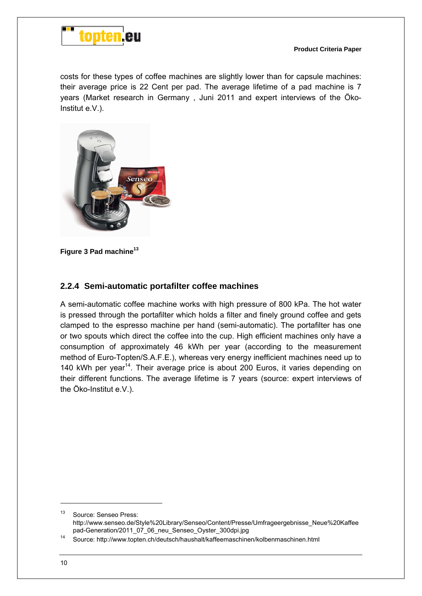

costs for these types of coffee machines are slightly lower than for capsule machines: their average price is 22 Cent per pad. The average lifetime of a pad machine is 7 years (Market research in Germany , Juni 2011 and expert interviews of the Öko-Institut e.V.).



**Figure 3 Pad machine13**

#### **2.2.4 Semi-automatic portafilter coffee machines**

A semi-automatic coffee machine works with high pressure of 800 kPa. The hot water is pressed through the portafilter which holds a filter and finely ground coffee and gets clamped to the espresso machine per hand (semi-automatic). The portafilter has one or two spouts which direct the coffee into the cup. High efficient machines only have a consumption of approximately 46 kWh per year (according to the measurement method of Euro-Topten/S.A.F.E.), whereas very energy inefficient machines need up to 140 kWh per year<sup>14</sup>. Their average price is about 200 Euros, it varies depending on their different functions. The average lifetime is 7 years (source: expert interviews of the Öko-Institut e.V.).

<sup>&</sup>lt;sup>13</sup> Source: Senseo Press: http://www.senseo.de/Style%20Library/Senseo/Content/Presse/Umfrageergebnisse\_Neue%20Kaffee

pad-Generation/2011\_07\_06\_neu\_Senseo\_Oyster\_300dpi.jpg<br>14 Source: http://www.topten.ch/deutsch/haushalt/kaffeemaschinen/kolbenmaschinen.html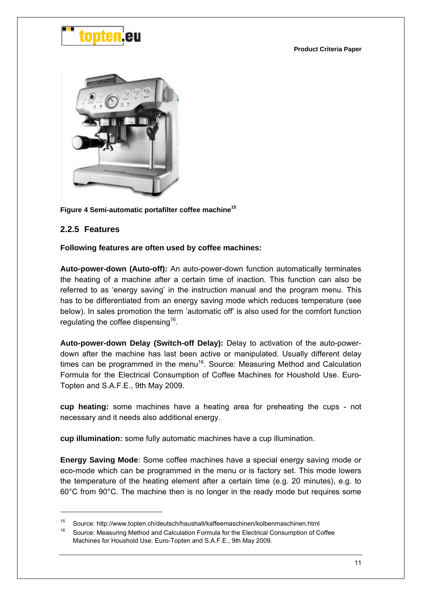



Figure 4 Semi-automatic portafilter coffee machine<sup>15</sup>

#### **2.2.5 Features**

-

#### **Following features are often used by coffee machines:**

**Auto-power-down (Auto-off):** An auto-power-down function automatically terminates the heating of a machine after a certain time of inaction. This function can also be referred to as 'energy saving' in the instruction manual and the program menu. This has to be differentiated from an energy saving mode which reduces temperature (see below). In sales promotion the term 'automatic off' is also used for the comfort function regulating the coffee dispensing<sup>16</sup>.

**Auto-power-down Delay (Switch-off Delay):** Delay to activation of the auto-powerdown after the machine has last been active or manipulated. Usually different delay times can be programmed in the menu<sup>16</sup>. Source: Measuring Method and Calculation Formula for the Electrical Consumption of Coffee Machines for Houshold Use. Euro-Topten and S.A.F.E., 9th May 2009.

**cup heating:** some machines have a heating area for preheating the cups - not necessary and it needs also additional energy.

**cup illumination:** some fully automatic machines have a cup illumination.

**Energy Saving Mode**: Some coffee machines have a special energy saving mode or eco-mode which can be programmed in the menu or is factory set. This mode lowers the temperature of the heating element after a certain time (e.g. 20 minutes), e.g. to 60°C from 90°C. The machine then is no longer in the ready mode but requires some

<sup>&</sup>lt;sup>15</sup> Source: http://www.topten.ch/deutsch/haushalt/kaffeemaschinen/kolbenmaschinen.html<br><sup>16</sup> Source: Measuring Method and Calculation Formula for the Electrical Consumption of Coffee

Machines for Houshold Use. Euro-Topten and S.A.F.E., 9th May 2009.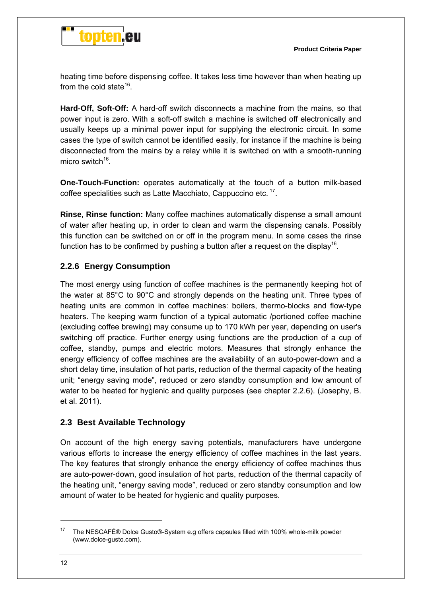

heating time before dispensing coffee. It takes less time however than when heating up from the cold state<sup>16</sup>.

**Hard-Off, Soft-Off:** A hard-off switch disconnects a machine from the mains, so that power input is zero. With a soft-off switch a machine is switched off electronically and usually keeps up a minimal power input for supplying the electronic circuit. In some cases the type of switch cannot be identified easily, for instance if the machine is being disconnected from the mains by a relay while it is switched on with a smooth-running micro switch $^{16}$ 

**One-Touch-Function:** operates automatically at the touch of a button milk-based coffee specialities such as Latte Macchiato, Cappuccino etc.<sup>17</sup>.

**Rinse, Rinse function:** Many coffee machines automatically dispense a small amount of water after heating up, in order to clean and warm the dispensing canals. Possibly this function can be switched on or off in the program menu. In some cases the rinse function has to be confirmed by pushing a button after a request on the display<sup>16</sup>.

#### **2.2.6 Energy Consumption**

The most energy using function of coffee machines is the permanently keeping hot of the water at 85°C to 90°C and strongly depends on the heating unit. Three types of heating units are common in coffee machines: boilers, thermo-blocks and flow-type heaters. The keeping warm function of a typical automatic /portioned coffee machine (excluding coffee brewing) may consume up to 170 kWh per year, depending on user's switching off practice. Further energy using functions are the production of a cup of coffee, standby, pumps and electric motors. Measures that strongly enhance the energy efficiency of coffee machines are the availability of an auto-power-down and a short delay time, insulation of hot parts, reduction of the thermal capacity of the heating unit; "energy saving mode", reduced or zero standby consumption and low amount of water to be heated for hygienic and quality purposes (see chapter 2.2.6). (Josephy, B. et al. 2011).

#### **2.3 Best Available Technology**

On account of the high energy saving potentials, manufacturers have undergone various efforts to increase the energy efficiency of coffee machines in the last years. The key features that strongly enhance the energy efficiency of coffee machines thus are auto-power-down, good insulation of hot parts, reduction of the thermal capacity of the heating unit, "energy saving mode", reduced or zero standby consumption and low amount of water to be heated for hygienic and quality purposes.

<sup>17</sup> The NESCAFÉ® Dolce Gusto®-System e.g offers capsules filled with 100% whole-milk powder (www.dolce-gusto.com).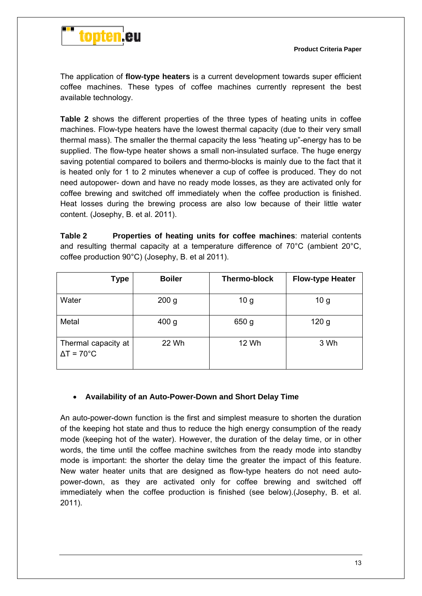

The application of **flow-type heaters** is a current development towards super efficient coffee machines. These types of coffee machines currently represent the best available technology.

**Table 2** shows the different properties of the three types of heating units in coffee machines. Flow-type heaters have the lowest thermal capacity (due to their very small thermal mass). The smaller the thermal capacity the less "heating up"-energy has to be supplied. The flow-type heater shows a small non-insulated surface. The huge energy saving potential compared to boilers and thermo-blocks is mainly due to the fact that it is heated only for 1 to 2 minutes whenever a cup of coffee is produced. They do not need autopower- down and have no ready mode losses, as they are activated only for coffee brewing and switched off immediately when the coffee production is finished. Heat losses during the brewing process are also low because of their little water content. (Josephy, B. et al. 2011).

**Table 2 Properties of heating units for coffee machines**: material contents and resulting thermal capacity at a temperature difference of 70°C (ambient 20°C, coffee production 90°C) (Josephy, B. et al 2011).

| Type                                             | <b>Boiler</b>    | <b>Thermo-block</b> | <b>Flow-type Heater</b> |
|--------------------------------------------------|------------------|---------------------|-------------------------|
| Water                                            | 200 <sub>g</sub> | 10 <sub>g</sub>     | 10 <sub>g</sub>         |
| Metal                                            | 400 g            | 650 g               | 120 <sub>g</sub>        |
| Thermal capacity at<br>$\Delta T = 70^{\circ}$ C | 22 Wh            | 12 Wh               | 3 Wh                    |

#### **Availability of an Auto-Power-Down and Short Delay Time**

An auto-power-down function is the first and simplest measure to shorten the duration of the keeping hot state and thus to reduce the high energy consumption of the ready mode (keeping hot of the water). However, the duration of the delay time, or in other words, the time until the coffee machine switches from the ready mode into standby mode is important: the shorter the delay time the greater the impact of this feature. New water heater units that are designed as flow-type heaters do not need autopower-down, as they are activated only for coffee brewing and switched off immediately when the coffee production is finished (see below).(Josephy, B. et al. 2011).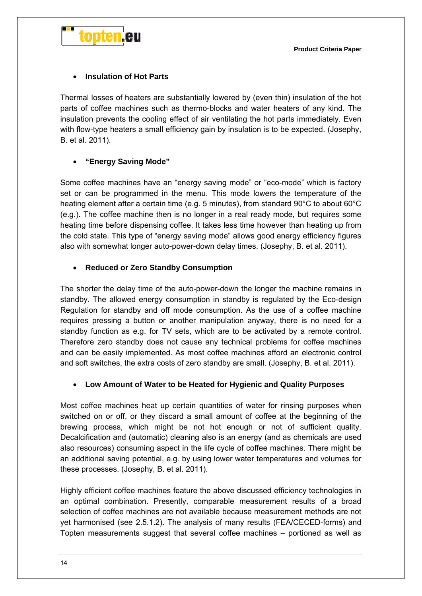



#### **Insulation of Hot Parts**

Thermal losses of heaters are substantially lowered by (even thin) insulation of the hot parts of coffee machines such as thermo-blocks and water heaters of any kind. The insulation prevents the cooling effect of air ventilating the hot parts immediately. Even with flow-type heaters a small efficiency gain by insulation is to be expected. (Josephy, B. et al. 2011).

#### **"Energy Saving Mode"**

Some coffee machines have an "energy saving mode" or "eco-mode" which is factory set or can be programmed in the menu. This mode lowers the temperature of the heating element after a certain time (e.g. 5 minutes), from standard 90°C to about 60°C (e.g.). The coffee machine then is no longer in a real ready mode, but requires some heating time before dispensing coffee. It takes less time however than heating up from the cold state. This type of "energy saving mode" allows good energy efficiency figures also with somewhat longer auto-power-down delay times. (Josephy, B. et al. 2011).

#### **Reduced or Zero Standby Consumption**

The shorter the delay time of the auto-power-down the longer the machine remains in standby. The allowed energy consumption in standby is regulated by the Eco-design Regulation for standby and off mode consumption. As the use of a coffee machine requires pressing a button or another manipulation anyway, there is no need for a standby function as e.g. for TV sets, which are to be activated by a remote control. Therefore zero standby does not cause any technical problems for coffee machines and can be easily implemented. As most coffee machines afford an electronic control and soft switches, the extra costs of zero standby are small. (Josephy, B. et al. 2011).

#### **Low Amount of Water to be Heated for Hygienic and Quality Purposes**

Most coffee machines heat up certain quantities of water for rinsing purposes when switched on or off, or they discard a small amount of coffee at the beginning of the brewing process, which might be not hot enough or not of sufficient quality. Decalcification and (automatic) cleaning also is an energy (and as chemicals are used also resources) consuming aspect in the life cycle of coffee machines. There might be an additional saving potential, e.g. by using lower water temperatures and volumes for these processes. (Josephy, B. et al. 2011).

Highly efficient coffee machines feature the above discussed efficiency technologies in an optimal combination. Presently, comparable measurement results of a broad selection of coffee machines are not available because measurement methods are not yet harmonised (see 2.5.1.2). The analysis of many results (FEA/CECED-forms) and Topten measurements suggest that several coffee machines – portioned as well as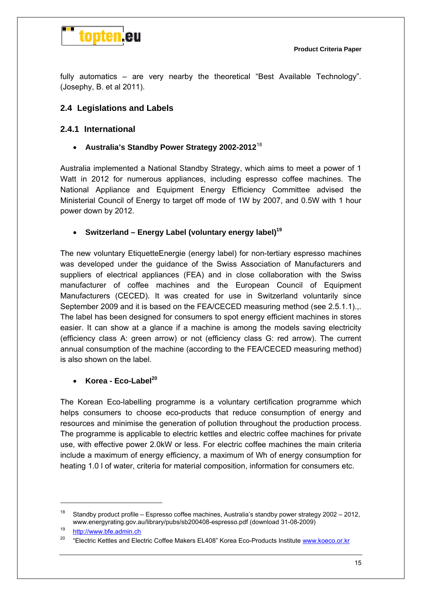

fully automatics – are very nearby the theoretical "Best Available Technology". (Josephy, B. et al 2011).

#### **2.4 Legislations and Labels**

#### **2.4.1 International**

**Australia's Standby Power Strategy 2002-2012**<sup>18</sup>

Australia implemented a National Standby Strategy, which aims to meet a power of 1 Watt in 2012 for numerous appliances, including espresso coffee machines. The National Appliance and Equipment Energy Efficiency Committee advised the Ministerial Council of Energy to target off mode of 1W by 2007, and 0.5W with 1 hour power down by 2012.

#### • Switzerland – Energy Label (voluntary energy label)<sup>19</sup>

The new voluntary EtiquetteEnergie (energy label) for non-tertiary espresso machines was developed under the guidance of the Swiss Association of Manufacturers and suppliers of electrical appliances (FEA) and in close collaboration with the Swiss manufacturer of coffee machines and the European Council of Equipment Manufacturers (CECED). It was created for use in Switzerland voluntarily since September 2009 and it is based on the FEA/CECED measuring method (see 2.5.1.1)... The label has been designed for consumers to spot energy efficient machines in stores easier. It can show at a glance if a machine is among the models saving electricity (efficiency class A: green arrow) or not (efficiency class G: red arrow). The current annual consumption of the machine (according to the FEA/CECED measuring method) is also shown on the label.

#### **Korea - Eco-Label<sup>20</sup>**

The Korean Eco-labelling programme is a voluntary certification programme which helps consumers to choose eco-products that reduce consumption of energy and resources and minimise the generation of pollution throughout the production process. The programme is applicable to electric kettles and electric coffee machines for private use, with effective power 2.0kW or less. For electric coffee machines the main criteria include a maximum of energy efficiency, a maximum of Wh of energy consumption for heating 1.0 l of water, criteria for material composition, information for consumers etc.

<sup>&</sup>lt;sup>18</sup> Standby product profile – Espresso coffee machines, Australia's standby power strategy 2002 – 2012, www.energyrating.gov.au/library/pubs/sb200408-espresso.pdf (download 31-08-2009)<br>http://www.bfe.admin.ch

<sup>&</sup>lt;sup>20</sup> "Electric Kettles and Electric Coffee Makers EL408" Korea Eco-Products Institute www.koeco.or.kr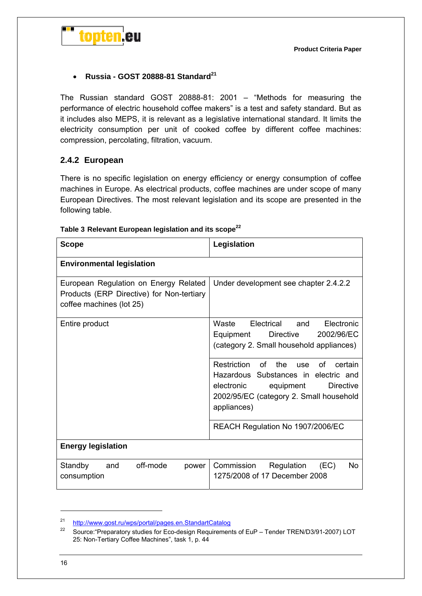

#### **Russia - GOST 20888-81 Standard<sup>21</sup>**

The Russian standard GOST 20888-81: 2001 – "Methods for measuring the performance of electric household coffee makers" is a test and safety standard. But as it includes also MEPS, it is relevant as a legislative international standard. It limits the electricity consumption per unit of cooked coffee by different coffee machines: compression, percolating, filtration, vacuum.

#### **2.4.2 European**

There is no specific legislation on energy efficiency or energy consumption of coffee machines in Europe. As electrical products, coffee machines are under scope of many European Directives. The most relevant legislation and its scope are presented in the following table.

| <b>Scope</b>                                                                                                   | Legislation                                                                                                                                                                                           |  |
|----------------------------------------------------------------------------------------------------------------|-------------------------------------------------------------------------------------------------------------------------------------------------------------------------------------------------------|--|
| <b>Environmental legislation</b>                                                                               |                                                                                                                                                                                                       |  |
| European Regulation on Energy Related<br>Products (ERP Directive) for Non-tertiary<br>coffee machines (lot 25) | Under development see chapter 2.4.2.2                                                                                                                                                                 |  |
| Entire product                                                                                                 | Waste<br>Electrical<br>Electronic<br>and<br><b>Directive</b><br>2002/96/EC<br>Equipment<br>(category 2. Small household appliances)                                                                   |  |
|                                                                                                                | Restriction of<br>the<br>certain<br><b>use</b><br>Ωf<br>Hazardous Substances in electric and<br>electronic<br><b>Directive</b><br>equipment<br>2002/95/EC (category 2. Small household<br>appliances) |  |
|                                                                                                                | REACH Regulation No 1907/2006/EC                                                                                                                                                                      |  |
| <b>Energy legislation</b>                                                                                      |                                                                                                                                                                                                       |  |
| off-mode<br>Standby<br>and<br>power<br>consumption                                                             | No.<br>Commission<br>Regulation<br>(EC)<br>1275/2008 of 17 December 2008                                                                                                                              |  |

#### Table 3 Relevant European legislation and its scope<sup>22</sup>

<sup>&</sup>lt;sup>21</sup> http://www.gost.ru/wps/portal/pages.en.StandartCatalog

<sup>22</sup> Source:"Preparatory studies for Eco-design Requirements of EuP – Tender TREN/D3/91-2007) LOT 25: Non-Tertiary Coffee Machines", task 1, p. 44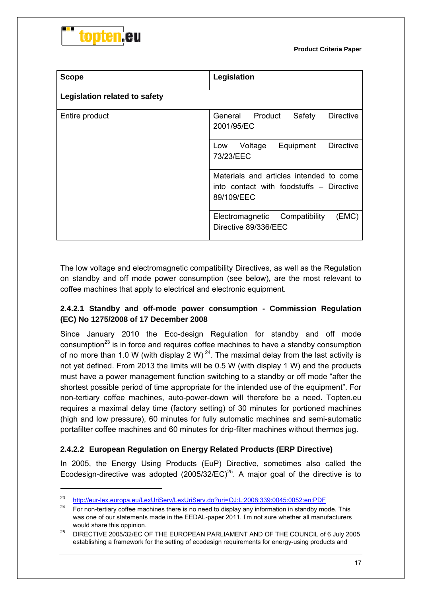



-

| <b>Scope</b>                         | Legislation                                                                                       |  |  |
|--------------------------------------|---------------------------------------------------------------------------------------------------|--|--|
| <b>Legislation related to safety</b> |                                                                                                   |  |  |
| Entire product                       | Safety<br><b>Directive</b><br>General Product<br>2001/95/EC                                       |  |  |
|                                      | Equipment<br><b>Directive</b><br>Voltage<br>Low<br>73/23/EEC                                      |  |  |
|                                      | Materials and articles intended to come<br>into contact with foodstuffs – Directive<br>89/109/EEC |  |  |
|                                      | (EMC)<br>Electromagnetic Compatibility<br>Directive 89/336/EEC                                    |  |  |

The low voltage and electromagnetic compatibility Directives, as well as the Regulation on standby and off mode power consumption (see below), are the most relevant to coffee machines that apply to electrical and electronic equipment.

#### **2.4.2.1 Standby and off-mode power consumption - Commission Regulation (EC) No 1275/2008 of 17 December 2008**

Since January 2010 the Eco-design Regulation for standby and off mode consumption<sup>23</sup> is in force and requires coffee machines to have a standby consumption of no more than 1.0 W (with display 2 W)<sup>24</sup>. The maximal delay from the last activity is not yet defined. From 2013 the limits will be 0.5 W (with display 1 W) and the products must have a power management function switching to a standby or off mode "after the shortest possible period of time appropriate for the intended use of the equipment". For non-tertiary coffee machines, auto-power-down will therefore be a need. Topten.eu requires a maximal delay time (factory setting) of 30 minutes for portioned machines (high and low pressure), 60 minutes for fully automatic machines and semi-automatic portafilter coffee machines and 60 minutes for drip-filter machines without thermos jug.

#### **2.4.2.2 European Regulation on Energy Related Products (ERP Directive)**

In 2005, the Energy Using Products (EuP) Directive, sometimes also called the Ecodesign-directive was adopted  $(2005/32/EC)^{25}$ . A major goal of the directive is to

<sup>23</sup> http://eur-lex.europa.eu/LexUriServ/LexUriServ.do?uri=OJ:L:2008:339:0045:0052:en:PDF<br>24 Escape texting esthes mashines there is no pead to display pourinformation in other thy mas

<sup>24</sup> For non-tertiary coffee machines there is no need to display any information in standby mode. This was one of our statements made in the EEDAL-paper 2011. I'm not sure whether all manufacturers

would share this oppinion.<br><sup>25</sup> DIRECTIVE 2005/32/EC OF THE EUROPEAN PARLIAMENT AND OF THE COUNCIL of 6 July 2005 establishing a framework for the setting of ecodesign requirements for energy-using products and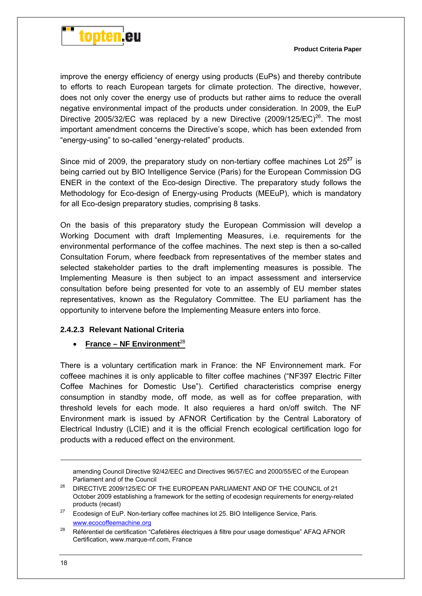

improve the energy efficiency of energy using products (EuPs) and thereby contribute to efforts to reach European targets for climate protection. The directive, however, does not only cover the energy use of products but rather aims to reduce the overall negative environmental impact of the products under consideration. In 2009, the EuP Directive 2005/32/EC was replaced by a new Directive  $(2009/125/EC)^{26}$ . The most important amendment concerns the Directive's scope, which has been extended from "energy-using" to so-called "energy-related" products.

Since mid of 2009, the preparatory study on non-tertiary coffee machines Lot 25**<sup>27</sup>** is being carried out by BIO Intelligence Service (Paris) for the European Commission DG ENER in the context of the Eco-design Directive. The preparatory study follows the Methodology for Eco-design of Energy-using Products (MEEuP), which is mandatory for all Eco-design preparatory studies, comprising 8 tasks.

On the basis of this preparatory study the European Commission will develop a Working Document with draft Implementing Measures, i.e. requirements for the environmental performance of the coffee machines. The next step is then a so-called Consultation Forum, where feedback from representatives of the member states and selected stakeholder parties to the draft implementing measures is possible. The Implementing Measure is then subject to an impact assessment and interservice consultation before being presented for vote to an assembly of EU member states representatives, known as the Regulatory Committee. The EU parliament has the opportunity to intervene before the Implementing Measure enters into force.

#### **2.4.2.3 Relevant National Criteria**

#### **•** France – NF Environment<sup>28</sup>

There is a voluntary certification mark in France: the NF Environnement mark. For coffeee machines it is only applicable to filter coffee machines ("NF397 Electric Filter Coffee Machines for Domestic Use"). Certified characteristics comprise energy consumption in standby mode, off mode, as well as for coffee preparation, with threshold levels for each mode. It also requieres a hard on/off switch. The NF Environment mark is issued by AFNOR Certification by the Central Laboratory of Electrical Industry (LCIE) and it is the official French ecological certification logo for products with a reduced effect on the environment.

amending Council Directive 92/42/EEC and Directives 96/57/EC and 2000/55/EC of the European Parliament and of the Council 26 DIRECTIVE 2009/125/EC OF THE EUROPEAN PARLIAMENT AND OF THE COUNCIL of 21

October 2009 establishing a framework for the setting of ecodesign requirements for energy-related products (recast)<br><sup>27</sup> Ecodesign of EuP. Non-tertiary coffee machines lot 25. BIO Intelligence Service, Paris.

www.ecocoffeemachine.org

<sup>&</sup>lt;sup>28</sup> Référentiel de certification "Cafetières électriques à filtre pour usage domestique" AFAQ AFNOR Certification, www.marque-nf.com, France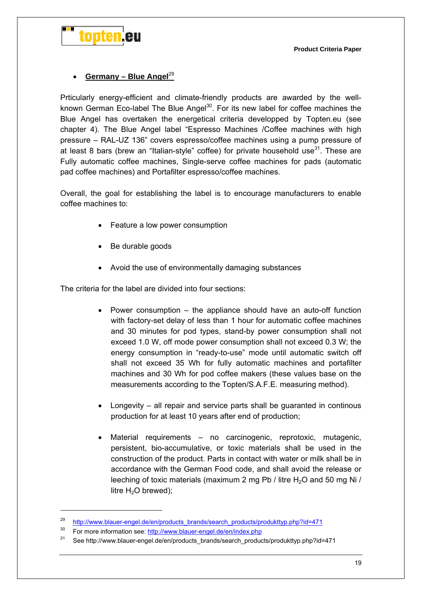

#### Germany – Blue Angel<sup>29</sup>

Prticularly energy-efficient and climate-friendly products are awarded by the wellknown German Eco-label The Blue Angel<sup>30</sup>. For its new label for coffee machines the Blue Angel has overtaken the energetical criteria developped by Topten.eu (see chapter 4). The Blue Angel label "Espresso Machines /Coffee machines with high pressure – RAL-UZ 136" covers espresso/coffee machines using a pump pressure of at least 8 bars (brew an "Italian-style" coffee) for private household use $31$ . These are Fully automatic coffee machines, Single-serve coffee machines for pads (automatic pad coffee machines) and Portafilter espresso/coffee machines.

Overall, the goal for establishing the label is to encourage manufacturers to enable coffee machines to:

- Feature a low power consumption
- Be durable goods
- Avoid the use of environmentally damaging substances

The criteria for the label are divided into four sections:

- Power consumption the appliance should have an auto-off function with factory-set delay of less than 1 hour for automatic coffee machines and 30 minutes for pod types, stand-by power consumption shall not exceed 1.0 W, off mode power consumption shall not exceed 0.3 W; the energy consumption in "ready-to-use" mode until automatic switch off shall not exceed 35 Wh for fully automatic machines and portafilter machines and 30 Wh for pod coffee makers (these values base on the measurements according to the Topten/S.A.F.E. measuring method).
- Longevity all repair and service parts shall be guaranted in continous production for at least 10 years after end of production;
- Material requirements no carcinogenic, reprotoxic, mutagenic, persistent, bio-accumulative, or toxic materials shall be used in the construction of the product. Parts in contact with water or milk shall be in accordance with the German Food code, and shall avoid the release or leeching of toxic materials (maximum 2 mg Pb / litre  $H_2O$  and 50 mg Ni / litre  $H_2O$  brewed);

 $\overline{a}$ 

<sup>&</sup>lt;sup>29</sup> http://www.blauer-engel.de/en/products\_brands/search\_products/produkttyp.php?id=471

<sup>30</sup> For more information see: http://www.blauer-engel.de/en/index.php

<sup>&</sup>lt;sup>31</sup> See http://www.blauer-engel.de/en/products\_brands/search\_products/produkttyp.php?id=471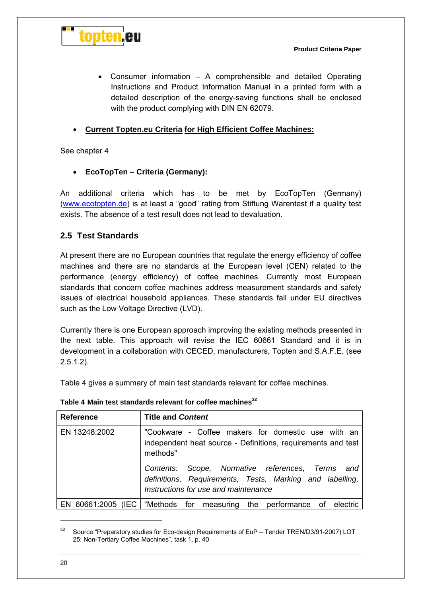

 Consumer information – A comprehensible and detailed Operating Instructions and Product Information Manual in a printed form with a detailed description of the energy-saving functions shall be enclosed with the product complying with DIN EN 62079.

#### **Current Topten.eu Criteria for High Efficient Coffee Machines:**

See chapter 4

**EcoTopTen – Criteria (Germany):** 

An additional criteria which has to be met by EcoTopTen (Germany) (www.ecotopten.de) is at least a "good" rating from Stiftung Warentest if a quality test exists. The absence of a test result does not lead to devaluation.

#### **2.5 Test Standards**

At present there are no European countries that regulate the energy efficiency of coffee machines and there are no standards at the European level (CEN) related to the performance (energy efficiency) of coffee machines. Currently most European standards that concern coffee machines address measurement standards and safety issues of electrical household appliances. These standards fall under EU directives such as the Low Voltage Directive (LVD).

Currently there is one European approach improving the existing methods presented in the next table. This approach will revise the IEC 60661 Standard and it is in development in a collaboration with CECED, manufacturers, Topten and S.A.F.E. (see 2.5.1.2).

Table 4 gives a summary of main test standards relevant for coffee machines.

| <b>Reference</b> | <b>Title and Content</b>                                                                                                                                                                                                                                                                  |
|------------------|-------------------------------------------------------------------------------------------------------------------------------------------------------------------------------------------------------------------------------------------------------------------------------------------|
| EN 13248:2002    | "Cookware - Coffee makers for domestic use with an<br>independent heat source - Definitions, requirements and test<br>methods"<br>Scope, Normative references, Terms and<br>Contents:<br>definitions, Requirements, Tests, Marking and labelling,<br>Instructions for use and maintenance |
| 60661:2005<br>EN | (IEC   "Methods for measuring<br>the performance<br>of electric                                                                                                                                                                                                                           |

**Table 4 Main test standards relevant for coffee machines<sup>32</sup>**

<sup>&</sup>lt;sup>32</sup> Source: "Preparatory studies for Eco-design Requirements of EuP – Tender TREN/D3/91-2007) LOT 25: Non-Tertiary Coffee Machines", task 1, p. 40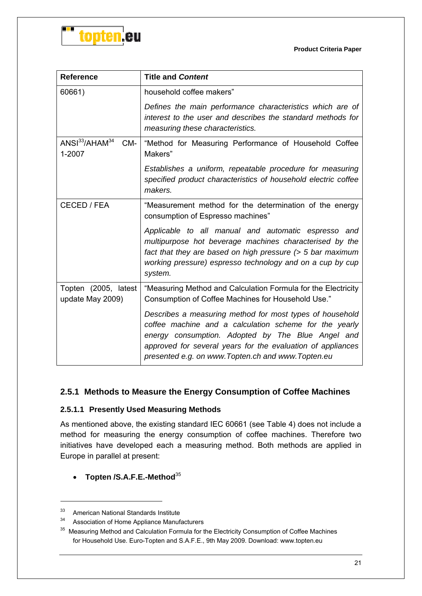

**Product Criteria Paper**

| <b>Reference</b>                                        | <b>Title and Content</b>                                                                                                                                                                                                                                                                      |  |
|---------------------------------------------------------|-----------------------------------------------------------------------------------------------------------------------------------------------------------------------------------------------------------------------------------------------------------------------------------------------|--|
| 60661)                                                  | household coffee makers"                                                                                                                                                                                                                                                                      |  |
|                                                         | Defines the main performance characteristics which are of<br>interest to the user and describes the standard methods for<br>measuring these characteristics.                                                                                                                                  |  |
| ANSI <sup>33</sup> /AHAM <sup>34</sup><br>CM-<br>1-2007 | "Method for Measuring Performance of Household Coffee<br>Makers"                                                                                                                                                                                                                              |  |
|                                                         | Establishes a uniform, repeatable procedure for measuring<br>specified product characteristics of household electric coffee<br>makers.                                                                                                                                                        |  |
| CECED / FEA                                             | "Measurement method for the determination of the energy<br>consumption of Espresso machines"                                                                                                                                                                                                  |  |
|                                                         | Applicable to all manual and automatic espresso and<br>multipurpose hot beverage machines characterised by the<br>fact that they are based on high pressure (> 5 bar maximum<br>working pressure) espresso technology and on a cup by cup<br>system.                                          |  |
| Topten (2005, latest<br>update May 2009)                | "Measuring Method and Calculation Formula for the Electricity<br>Consumption of Coffee Machines for Household Use."                                                                                                                                                                           |  |
|                                                         | Describes a measuring method for most types of household<br>coffee machine and a calculation scheme for the yearly<br>energy consumption. Adopted by The Blue Angel and<br>approved for several years for the evaluation of appliances<br>presented e.g. on www. Topten.ch and www. Topten.eu |  |

#### **2.5.1 Methods to Measure the Energy Consumption of Coffee Machines**

#### **2.5.1.1 Presently Used Measuring Methods**

As mentioned above, the existing standard IEC 60661 (see Table 4) does not include a method for measuring the energy consumption of coffee machines. Therefore two initiatives have developed each a measuring method. Both methods are applied in Europe in parallel at present:

#### **Topten /S.A.F.E.-Method**<sup>35</sup>

-

<sup>33</sup> American National Standards Institute

<sup>&</sup>lt;sup>34</sup> Association of Home Appliance Manufacturers

<sup>&</sup>lt;sup>35</sup> Measuring Method and Calculation Formula for the Electricity Consumption of Coffee Machines for Household Use. Euro-Topten and S.A.F.E., 9th May 2009. Download: www.topten.eu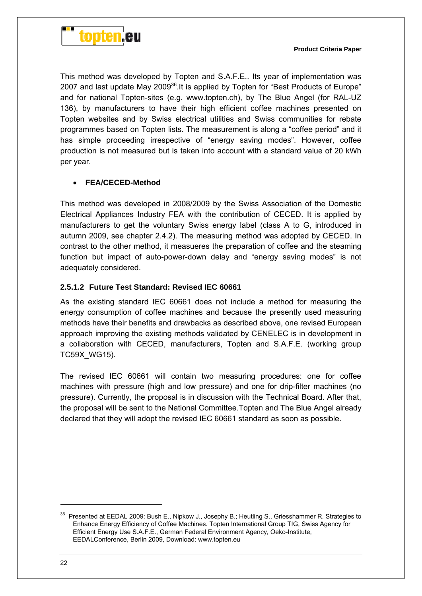

This method was developed by Topten and S.A.F.E.. Its year of implementation was 2007 and last update May 2009 $^{36}$ . It is applied by Topten for "Best Products of Europe" and for national Topten-sites (e.g. www.topten.ch), by The Blue Angel (for RAL-UZ 136), by manufacturers to have their high efficient coffee machines presented on Topten websites and by Swiss electrical utilities and Swiss communities for rebate programmes based on Topten lists. The measurement is along a "coffee period" and it has simple proceeding irrespective of "energy saving modes". However, coffee production is not measured but is taken into account with a standard value of 20 kWh per year.

#### **FEA/CECED-Method**

This method was developed in 2008/2009 by the Swiss Association of the Domestic Electrical Appliances Industry FEA with the contribution of CECED. It is applied by manufacturers to get the voluntary Swiss energy label (class A to G, introduced in autumn 2009, see chapter 2.4.2). The measuring method was adopted by CECED. In contrast to the other method, it measueres the preparation of coffee and the steaming function but impact of auto-power-down delay and "energy saving modes" is not adequately considered.

#### **2.5.1.2 Future Test Standard: Revised IEC 60661**

As the existing standard IEC 60661 does not include a method for measuring the energy consumption of coffee machines and because the presently used measuring methods have their benefits and drawbacks as described above, one revised European approach improving the existing methods validated by CENELEC is in development in a collaboration with CECED, manufacturers, Topten and S.A.F.E. (working group TC59X\_WG15).

The revised IEC 60661 will contain two measuring procedures: one for coffee machines with pressure (high and low pressure) and one for drip-filter machines (no pressure). Currently, the proposal is in discussion with the Technical Board. After that, the proposal will be sent to the National Committee.Topten and The Blue Angel already declared that they will adopt the revised IEC 60661 standard as soon as possible.

<sup>&</sup>lt;sup>36</sup> Presented at EEDAL 2009: Bush E., Nipkow J., Josephy B.; Heutling S., Griesshammer R. Strategies to Enhance Energy Efficiency of Coffee Machines. Topten International Group TIG, Swiss Agency for Efficient Energy Use S.A.F.E., German Federal Environment Agency, Oeko-Institute, EEDALConference, Berlin 2009, Download: www.topten.eu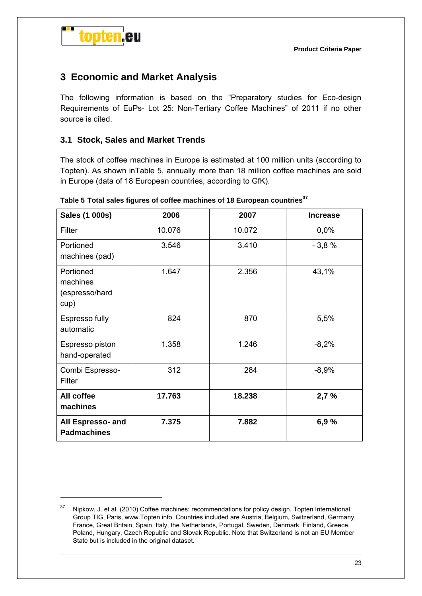



 $\overline{a}$ 

## **3 Economic and Market Analysis**

The following information is based on the "Preparatory studies for Eco-design Requirements of EuPs- Lot 25: Non-Tertiary Coffee Machines" of 2011 if no other source is cited.

#### **3.1 Stock, Sales and Market Trends**

The stock of coffee machines in Europe is estimated at 100 million units (according to Topten). As shown inTable 5, annually more than 18 million coffee machines are sold in Europe (data of 18 European countries, according to GfK).

| Sales (1 000s)                                  | 2006   | 2007   | <b>Increase</b> |
|-------------------------------------------------|--------|--------|-----------------|
| Filter                                          | 10.076 | 10.072 | 0,0%            |
| Portioned<br>machines (pad)                     | 3.546  | 3.410  | $-3,8%$         |
| Portioned<br>machines<br>(espresso/hard<br>cup) | 1.647  | 2.356  | 43,1%           |
| Espresso fully<br>automatic                     | 824    | 870    | 5,5%            |
| Espresso piston<br>hand-operated                | 1.358  | 1.246  | $-8,2%$         |
| Combi Espresso-<br>Filter                       | 312    | 284    | $-8,9%$         |
| All coffee<br>machines                          | 17.763 | 18.238 | 2,7%            |
| All Espresso- and<br><b>Padmachines</b>         | 7.375  | 7.882  | 6,9%            |

**Table 5 Total sales figures of coffee machines of 18 European countries<sup>37</sup>**

<sup>&</sup>lt;sup>37</sup> Nipkow, J. et al. (2010) Coffee machines: recommendations for policy design, Topten International Group TIG, Paris, www.Topten.info. Countries included are Austria, Belgium, Switzerland, Germany, France, Great Britain, Spain, Italy, the Netherlands, Portugal, Sweden, Denmark, Finland, Greece, Poland, Hungary, Czech Republic and Slovak Republic. Note that Switzerland is not an EU Member State but is included in the original dataset.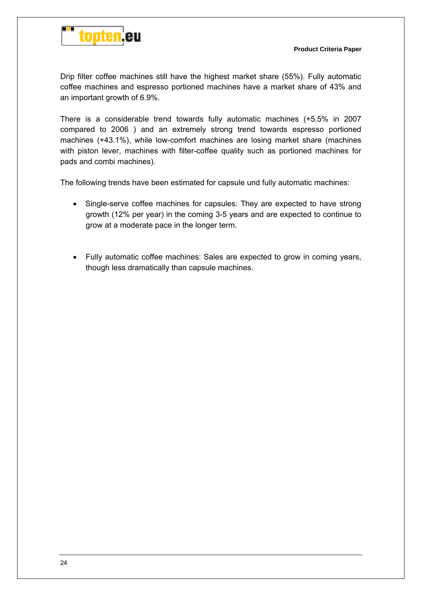

Drip filter coffee machines still have the highest market share (55%). Fully automatic coffee machines and espresso portioned machines have a market share of 43% and an important growth of 6.9%.

There is a considerable trend towards fully automatic machines (+5.5% in 2007 compared to 2006 ) and an extremely strong trend towards espresso portioned machines (+43.1%), while low-comfort machines are losing market share (machines with piston lever, machines with filter-coffee quality such as portioned machines for pads and combi machines).

The following trends have been estimated for capsule und fully automatic machines:

- Single-serve coffee machines for capsules: They are expected to have strong growth (12% per year) in the coming 3-5 years and are expected to continue to grow at a moderate pace in the longer term.
- Fully automatic coffee machines: Sales are expected to grow in coming years, though less dramatically than capsule machines.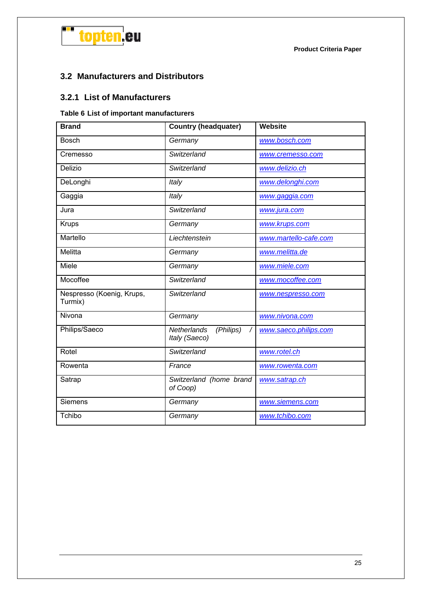

## **3.2 Manufacturers and Distributors**

#### **3.2.1 List of Manufacturers**

#### **Table 6 List of important manufacturers**

| <b>Brand</b>                         | <b>Country (headquater)</b>               | <b>Website</b>        |
|--------------------------------------|-------------------------------------------|-----------------------|
| <b>Bosch</b>                         | Germany                                   | www.bosch.com         |
| Cremesso                             | Switzerland                               | www.cremesso.com      |
| Delizio                              | Switzerland                               | www.delizio.ch        |
| DeLonghi                             | Italy                                     | www.delonghi.com      |
| Gaggia                               | Italy                                     | www.gaggia.com        |
| Jura                                 | Switzerland                               | www.jura.com          |
| <b>Krups</b>                         | Germany                                   | www.krups.com         |
| Martello                             | Liechtenstein                             | www.martello-cafe.com |
| Melitta                              | Germany                                   | www.melitta.de        |
| Miele                                | Germany                                   | www.miele.com         |
| Mocoffee                             | Switzerland                               | www.mocoffee.com      |
| Nespresso (Koenig, Krups,<br>Turmix) | Switzerland                               | www.nespresso.com     |
| Nivona                               | Germany                                   | www.nivona.com        |
| Philips/Saeco                        | Netherlands<br>(Philips)<br>Italy (Saeco) | www.saeco.philips.com |
| Rotel                                | Switzerland                               | www.rotel.ch          |
| Rowenta                              | France                                    | www.rowenta.com       |
| Satrap                               | Switzerland (home brand<br>of Coop)       | www.satrap.ch         |
| Siemens                              | Germany                                   | www.siemens.com       |
| Tchibo                               | Germany                                   | www.tchibo.com        |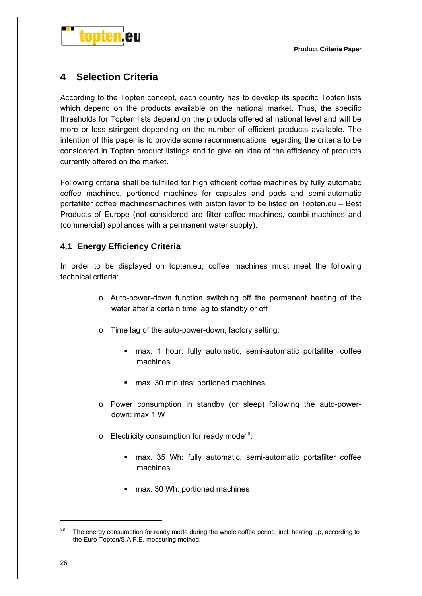

## **4 Selection Criteria**

According to the Topten concept, each country has to develop its specific Topten lists which depend on the products available on the national market. Thus, the specific thresholds for Topten lists depend on the products offered at national level and will be more or less stringent depending on the number of efficient products available. The intention of this paper is to provide some recommendations regarding the criteria to be considered in Topten product listings and to give an idea of the efficiency of products currently offered on the market.

Following criteria shall be fullfilled for high efficient coffee machines by fully automatic coffee machines, portioned machines for capsules and pads and semi-automatic portafilter coffee machinesmachines with piston lever to be listed on Topten.eu – Best Products of Europe (not considered are filter coffee machines, combi-machines and (commercial) appliances with a permanent water supply).

#### **4.1 Energy Efficiency Criteria**

In order to be displayed on topten.eu, coffee machines must meet the following technical criteria:

- o Auto-power-down function switching off the permanent heating of the water after a certain time lag to standby or off
- o Time lag of the auto-power-down, factory setting:
	- max. 1 hour: fully automatic, semi-automatic portafilter coffee machines
	- max. 30 minutes: portioned machines
- o Power consumption in standby (or sleep) following the auto-powerdown: max.1 W
- $\circ$  Electricity consumption for ready mode<sup>38</sup>:
	- max. 35 Wh: fully automatic, semi-automatic portafilter coffee machines
	- max. 30 Wh: portioned machines

 $38$  The energy consumption for ready mode during the whole coffee period, incl. heating up, according to the Euro-Topten/S.A.F.E. measuring method.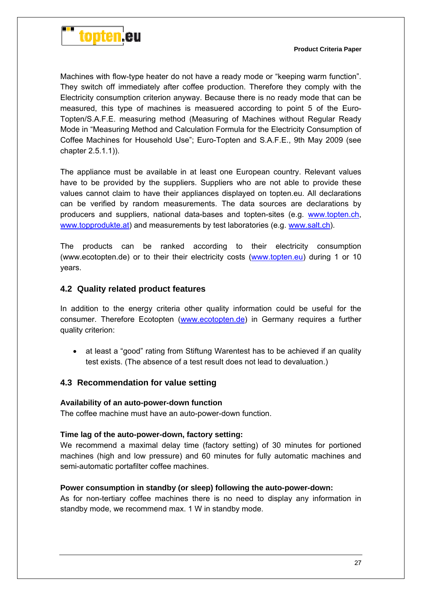

Machines with flow-type heater do not have a ready mode or "keeping warm function". They switch off immediately after coffee production. Therefore they comply with the Electricity consumption criterion anyway. Because there is no ready mode that can be measured, this type of machines is measuered according to point 5 of the Euro-Topten/S.A.F.E. measuring method (Measuring of Machines without Regular Ready Mode in "Measuring Method and Calculation Formula for the Electricity Consumption of Coffee Machines for Household Use"; Euro-Topten and S.A.F.E., 9th May 2009 (see chapter 2.5.1.1)).

The appliance must be available in at least one European country. Relevant values have to be provided by the suppliers. Suppliers who are not able to provide these values cannot claim to have their appliances displayed on topten.eu. All declarations can be verified by random measurements. The data sources are declarations by producers and suppliers, national data-bases and topten-sites (e.g. www.topten.ch, www.topprodukte.at) and measurements by test laboratories (e.g. www.salt.ch).

The products can be ranked according to their electricity consumption (www.ecotopten.de) or to their their electricity costs (www.topten.eu) during 1 or 10 years.

#### **4.2 Quality related product features**

In addition to the energy criteria other quality information could be useful for the consumer. Therefore Ecotopten (www.ecotopten.de) in Germany requires a further quality criterion:

 at least a "good" rating from Stiftung Warentest has to be achieved if an quality test exists. (The absence of a test result does not lead to devaluation.)

#### **4.3 Recommendation for value setting**

#### **Availability of an auto-power-down function**

The coffee machine must have an auto-power-down function.

#### **Time lag of the auto-power-down, factory setting:**

We recommend a maximal delay time (factory setting) of 30 minutes for portioned machines (high and low pressure) and 60 minutes for fully automatic machines and semi-automatic portafilter coffee machines.

#### **Power consumption in standby (or sleep) following the auto-power-down:**

As for non-tertiary coffee machines there is no need to display any information in standby mode, we recommend max. 1 W in standby mode.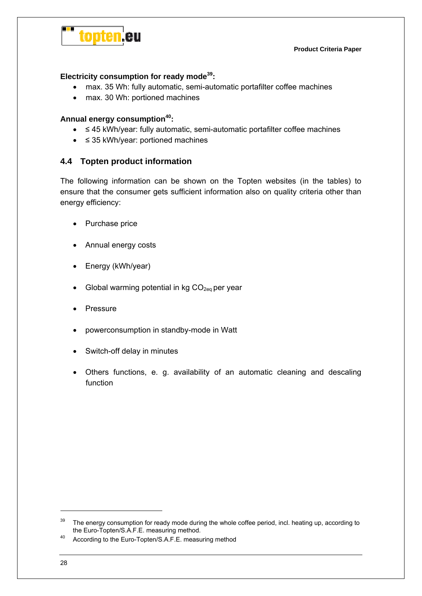

**Product Criteria Paper**

#### **Electricity consumption for ready mode39:**

- max. 35 Wh: fully automatic, semi-automatic portafilter coffee machines
- max. 30 Wh: portioned machines

#### **Annual energy consumption40:**

- ≤ 45 kWh/year: fully automatic, semi-automatic portafilter coffee machines
- ≤ 35 kWh/year: portioned machines

#### **4.4 Topten product information**

The following information can be shown on the Topten websites (in the tables) to ensure that the consumer gets sufficient information also on quality criteria other than energy efficiency:

- Purchase price
- Annual energy costs
- Energy (kWh/year)
- Global warming potential in kg  $CO<sub>2eq</sub>$  per year
- Pressure
- powerconsumption in standby-mode in Watt
- Switch-off delay in minutes
- Others functions, e. g. availability of an automatic cleaning and descaling function

<sup>&</sup>lt;sup>39</sup> The energy consumption for ready mode during the whole coffee period, incl. heating up, according to the Euro-Topten/S.A.F.E. measuring method.<br>40 According to the Euro-Topten/S.A.F.E. measuring method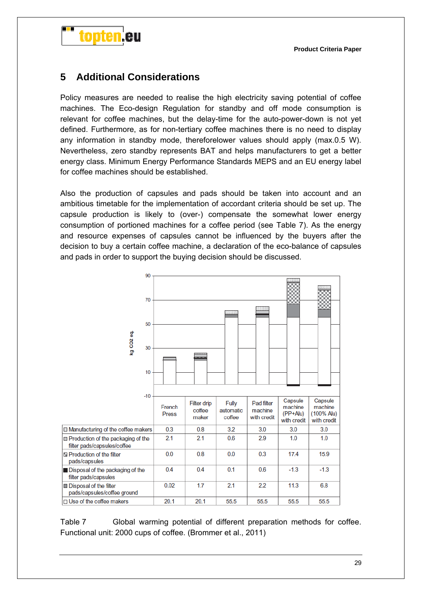

## **5 Additional Considerations**

Policy measures are needed to realise the high electricity saving potential of coffee machines. The Eco-design Regulation for standby and off mode consumption is relevant for coffee machines, but the delay-time for the auto-power-down is not yet defined. Furthermore, as for non-tertiary coffee machines there is no need to display any information in standby mode, thereforelower values should apply (max.0.5 W). Nevertheless, zero standby represents BAT and helps manufacturers to get a better energy class. Minimum Energy Performance Standards MEPS and an EU energy label for coffee machines should be established.

Also the production of capsules and pads should be taken into account and an ambitious timetable for the implementation of accordant criteria should be set up. The capsule production is likely to (over-) compensate the somewhat lower energy consumption of portioned machines for a coffee period (see Table 7). As the energy and resource expenses of capsules cannot be influenced by the buyers after the decision to buy a certain coffee machine, a declaration of the eco-balance of capsules and pads in order to support the buying decision should be discussed.



Table 7 Global warming potential of different preparation methods for coffee. Functional unit: 2000 cups of coffee. (Brommer et al., 2011)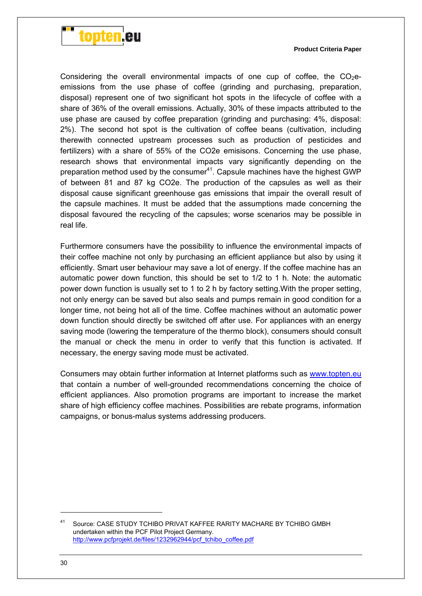

Considering the overall environmental impacts of one cup of coffee, the  $CO<sub>2</sub>e$ emissions from the use phase of coffee (grinding and purchasing, preparation, disposal) represent one of two significant hot spots in the lifecycle of coffee with a share of 36% of the overall emissions. Actually, 30% of these impacts attributed to the use phase are caused by coffee preparation (grinding and purchasing: 4%, disposal: 2%). The second hot spot is the cultivation of coffee beans (cultivation, including therewith connected upstream processes such as production of pesticides and fertilizers) with a share of 55% of the CO2e emisisons. Concerning the use phase, research shows that environmental impacts vary significantly depending on the preparation method used by the consumer<sup>41</sup>. Capsule machines have the highest GWP of between 81 and 87 kg CO2e. The production of the capsules as well as their disposal cause significant greenhouse gas emissions that impair the overall result of the capsule machines. It must be added that the assumptions made concerning the disposal favoured the recycling of the capsules; worse scenarios may be possible in real life.

Furthermore consumers have the possibility to influence the environmental impacts of their coffee machine not only by purchasing an efficient appliance but also by using it efficiently. Smart user behaviour may save a lot of energy. If the coffee machine has an automatic power down function, this should be set to 1/2 to 1 h. Note: the automatic power down function is usually set to 1 to 2 h by factory setting.With the proper setting, not only energy can be saved but also seals and pumps remain in good condition for a longer time, not being hot all of the time. Coffee machines without an automatic power down function should directly be switched off after use. For appliances with an energy saving mode (lowering the temperature of the thermo block), consumers should consult the manual or check the menu in order to verify that this function is activated. If necessary, the energy saving mode must be activated.

Consumers may obtain further information at Internet platforms such as www.topten.eu that contain a number of well-grounded recommendations concerning the choice of efficient appliances. Also promotion programs are important to increase the market share of high efficiency coffee machines. Possibilities are rebate programs, information campaigns, or bonus-malus systems addressing producers.

-

<sup>41</sup> Source: CASE STUDY TCHIBO PRIVAT KAFFEE RARITY MACHARE BY TCHIBO GMBH undertaken within the PCF Pilot Project Germany. http://www.pcfprojekt.de/files/1232962944/pcf\_tchibo\_coffee.pdf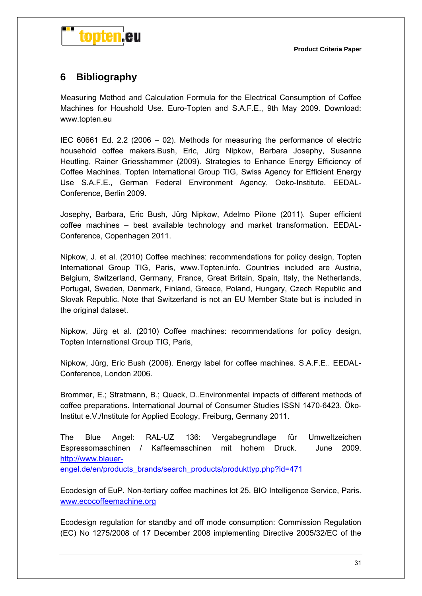

## **6 Bibliography**

Measuring Method and Calculation Formula for the Electrical Consumption of Coffee Machines for Houshold Use. Euro-Topten and S.A.F.E., 9th May 2009. Download: www.topten.eu

IEC 60661 Ed. 2.2 (2006 – 02). Methods for measuring the performance of electric household coffee makers.Bush, Eric, Jürg Nipkow, Barbara Josephy, Susanne Heutling, Rainer Griesshammer (2009). Strategies to Enhance Energy Efficiency of Coffee Machines. Topten International Group TIG, Swiss Agency for Efficient Energy Use S.A.F.E., German Federal Environment Agency, Oeko-Institute. EEDAL-Conference, Berlin 2009.

Josephy, Barbara, Eric Bush, Jürg Nipkow, Adelmo Pilone (2011). Super efficient coffee machines – best available technology and market transformation. EEDAL-Conference, Copenhagen 2011.

Nipkow, J. et al. (2010) Coffee machines: recommendations for policy design, Topten International Group TIG, Paris, www.Topten.info. Countries included are Austria, Belgium, Switzerland, Germany, France, Great Britain, Spain, Italy, the Netherlands, Portugal, Sweden, Denmark, Finland, Greece, Poland, Hungary, Czech Republic and Slovak Republic. Note that Switzerland is not an EU Member State but is included in the original dataset.

Nipkow, Jürg et al. (2010) Coffee machines: recommendations for policy design, Topten International Group TIG, Paris,

Nipkow, Jürg, Eric Bush (2006). Energy label for coffee machines. S.A.F.E.. EEDAL-Conference, London 2006.

Brommer, E.; Stratmann, B.; Quack, D..Environmental impacts of different methods of coffee preparations. International Journal of Consumer Studies ISSN 1470-6423. Öko-Institut e.V./Institute for Applied Ecology, Freiburg, Germany 2011.

The Blue Angel: RAL-UZ 136: Vergabegrundlage für Umweltzeichen Espressomaschinen / Kaffeemaschinen mit hohem Druck. June 2009. http://www.blauerengel.de/en/products\_brands/search\_products/produkttyp.php?id=471

Ecodesign of EuP. Non-tertiary coffee machines lot 25. BIO Intelligence Service, Paris. www.ecocoffeemachine.org

Ecodesign regulation for standby and off mode consumption: Commission Regulation (EC) No 1275/2008 of 17 December 2008 implementing Directive 2005/32/EC of the